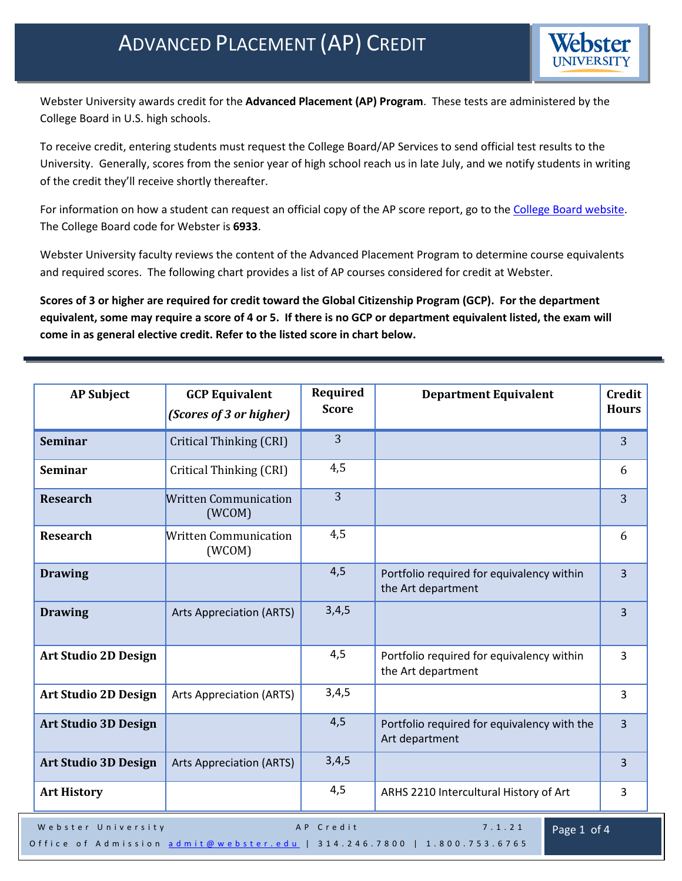

Webster University awards credit for the **Advanced Placement (AP) Program**. These tests are administered by the College Board in U.S. high schools.

To receive credit, entering students must request the College Board/AP Services to send official test results to the University. Generally, scores from the senior year of high school reach us in late July, and we notify students in writing of the credit they'll receive shortly thereafter.

For information on how a student can request an official copy of the AP score report, go to the [College Board website.](https://www.collegeboard.org/) The College Board code for Webster is **6933**.

Webster University faculty reviews the content of the Advanced Placement Program to determine course equivalents and required scores. The following chart provides a list of AP courses considered for credit at Webster.

**Scores of 3 or higher are required for credit toward the Global Citizenship Program (GCP). For the department equivalent, some may require a score of 4 or 5. If there is no GCP or department equivalent listed, the exam will come in as general elective credit. Refer to the listed score in chart below.**

| <b>AP Subject</b>                                        | <b>GCP Equivalent</b><br>(Scores of 3 or higher) | Required<br><b>Score</b> | <b>Department Equivalent</b>                                    | <b>Credit</b><br><b>Hours</b> |
|----------------------------------------------------------|--------------------------------------------------|--------------------------|-----------------------------------------------------------------|-------------------------------|
| <b>Seminar</b>                                           | Critical Thinking (CRI)                          | 3                        |                                                                 | 3                             |
| <b>Seminar</b>                                           | Critical Thinking (CRI)                          | 4,5                      |                                                                 | 6                             |
| <b>Research</b>                                          | <b>Written Communication</b><br>(WCOM)           | $\overline{3}$           |                                                                 | 3                             |
| <b>Research</b>                                          | <b>Written Communication</b><br>(WCOM)           | 4,5                      |                                                                 | 6                             |
| <b>Drawing</b>                                           |                                                  | 4,5                      | Portfolio required for equivalency within<br>the Art department | 3                             |
| <b>Drawing</b>                                           | <b>Arts Appreciation (ARTS)</b>                  | 3,4,5                    |                                                                 | $\overline{3}$                |
| <b>Art Studio 2D Design</b>                              |                                                  | 4,5                      | Portfolio required for equivalency within<br>the Art department | $\overline{3}$                |
| <b>Art Studio 2D Design</b>                              | <b>Arts Appreciation (ARTS)</b>                  | 3,4,5                    |                                                                 | 3                             |
| <b>Art Studio 3D Design</b>                              |                                                  | 4,5                      | Portfolio required for equivalency with the<br>Art department   | $\overline{3}$                |
| <b>Art Studio 3D Design</b>                              | <b>Arts Appreciation (ARTS)</b>                  | 3,4,5                    |                                                                 | 3                             |
| <b>Art History</b>                                       |                                                  | 4,5                      | ARHS 2210 Intercultural History of Art                          | 3                             |
| 7.1.21<br>Webster University<br>AP Credit<br>Page 1 of 4 |                                                  |                          |                                                                 |                               |

Office of Admission [admit@webster.edu](mailto:admit@webster.edu) | 314.246.7800 | 1.800.753.6765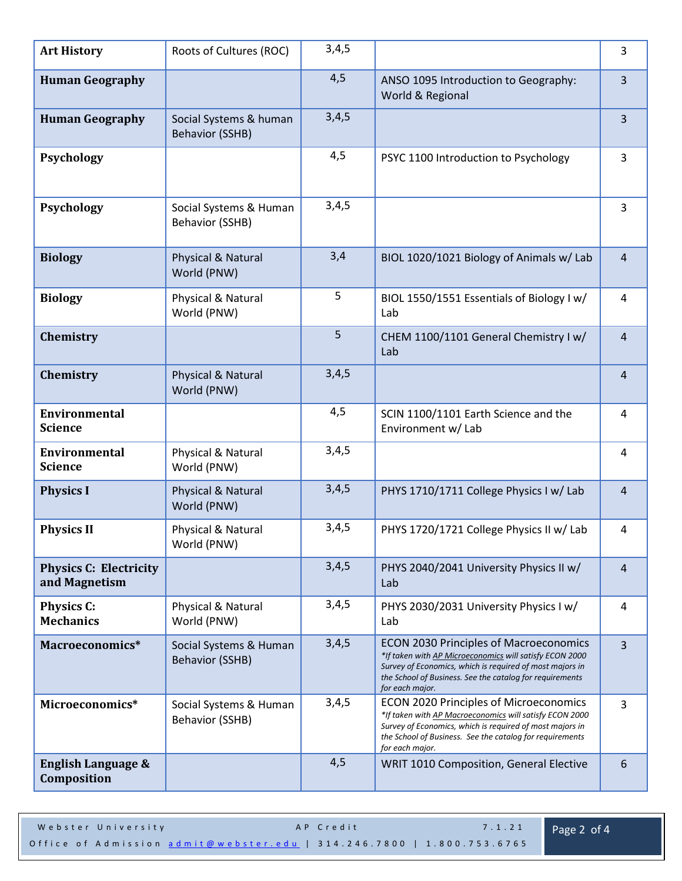| <b>Art History</b>                             | Roots of Cultures (ROC)                          | 3,4,5 |                                                                                                                                                                                                                                                     | $\mathsf{3}$   |
|------------------------------------------------|--------------------------------------------------|-------|-----------------------------------------------------------------------------------------------------------------------------------------------------------------------------------------------------------------------------------------------------|----------------|
| <b>Human Geography</b>                         |                                                  | 4,5   | ANSO 1095 Introduction to Geography:<br>World & Regional                                                                                                                                                                                            | $\overline{3}$ |
| <b>Human Geography</b>                         | Social Systems & human<br><b>Behavior (SSHB)</b> | 3,4,5 |                                                                                                                                                                                                                                                     | $\overline{3}$ |
| <b>Psychology</b>                              |                                                  | 4,5   | PSYC 1100 Introduction to Psychology                                                                                                                                                                                                                | $\overline{3}$ |
| <b>Psychology</b>                              | Social Systems & Human<br><b>Behavior (SSHB)</b> | 3,4,5 |                                                                                                                                                                                                                                                     | 3              |
| <b>Biology</b>                                 | Physical & Natural<br>World (PNW)                | 3,4   | BIOL 1020/1021 Biology of Animals w/ Lab                                                                                                                                                                                                            | $\overline{4}$ |
| <b>Biology</b>                                 | Physical & Natural<br>World (PNW)                | 5     | BIOL 1550/1551 Essentials of Biology I w/<br>Lab                                                                                                                                                                                                    | 4              |
| Chemistry                                      |                                                  | 5     | CHEM 1100/1101 General Chemistry I w/<br>Lab                                                                                                                                                                                                        | $\overline{4}$ |
| Chemistry                                      | Physical & Natural<br>World (PNW)                | 3,4,5 |                                                                                                                                                                                                                                                     | 4              |
| <b>Environmental</b><br><b>Science</b>         |                                                  | 4,5   | SCIN 1100/1101 Earth Science and the<br>Environment w/ Lab                                                                                                                                                                                          | 4              |
| <b>Environmental</b><br><b>Science</b>         | Physical & Natural<br>World (PNW)                | 3,4,5 |                                                                                                                                                                                                                                                     | 4              |
| <b>Physics I</b>                               | Physical & Natural<br>World (PNW)                | 3,4,5 | PHYS 1710/1711 College Physics I w/ Lab                                                                                                                                                                                                             | $\overline{4}$ |
| <b>Physics II</b>                              | Physical & Natural<br>World (PNW)                | 3,4,5 | PHYS 1720/1721 College Physics II w/ Lab                                                                                                                                                                                                            | 4              |
| <b>Physics C: Electricity</b><br>and Magnetism |                                                  | 3,4,5 | PHYS 2040/2041 University Physics II w/<br>Lab                                                                                                                                                                                                      | 4              |
| <b>Physics C:</b><br><b>Mechanics</b>          | Physical & Natural<br>World (PNW)                | 3,4,5 | PHYS 2030/2031 University Physics I w/<br>Lab                                                                                                                                                                                                       | 4              |
| Macroeconomics*                                | Social Systems & Human<br><b>Behavior (SSHB)</b> | 3,4,5 | <b>ECON 2030 Principles of Macroeconomics</b><br>*If taken with AP Microeconomics will satisfy ECON 2000<br>Survey of Economics, which is required of most majors in<br>the School of Business. See the catalog for requirements<br>for each major. | $\overline{3}$ |
| Microeconomics*                                | Social Systems & Human<br><b>Behavior (SSHB)</b> | 3,4,5 | <b>ECON 2020 Principles of Microeconomics</b><br>*If taken with AP Macroeconomics will satisfy ECON 2000<br>Survey of Economics, which is required of most majors in<br>the School of Business. See the catalog for requirements<br>for each major. | $\overline{3}$ |
| <b>English Language &amp;</b><br>Composition   |                                                  | 4,5   | WRIT 1010 Composition, General Elective                                                                                                                                                                                                             | $6\phantom{1}$ |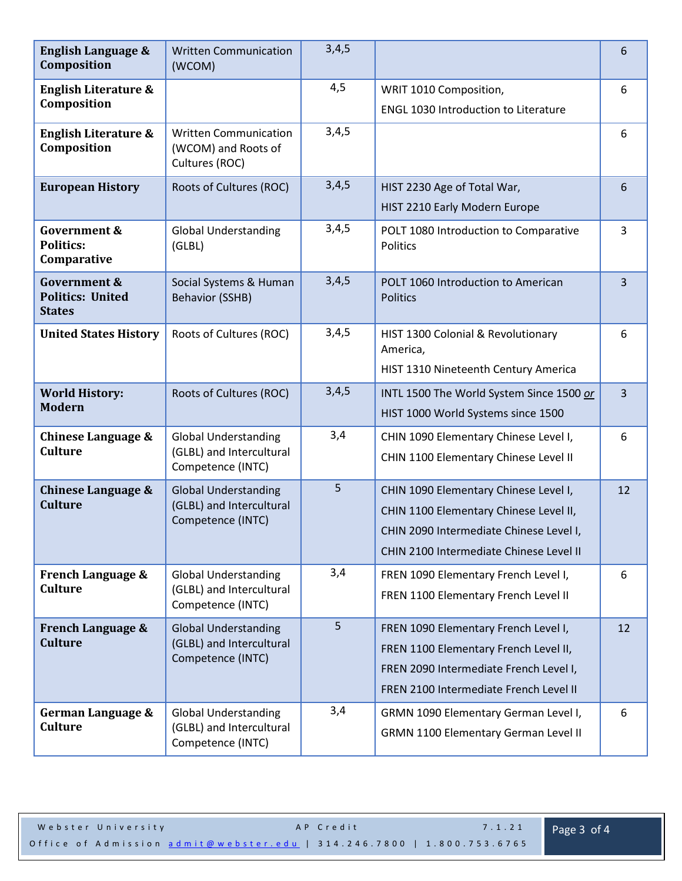| <b>English Language &amp;</b><br>Composition                        | <b>Written Communication</b><br>(WCOM)                                       | 3,4,5 |                                                                                                                                                                       | 6              |
|---------------------------------------------------------------------|------------------------------------------------------------------------------|-------|-----------------------------------------------------------------------------------------------------------------------------------------------------------------------|----------------|
| <b>English Literature &amp;</b><br>Composition                      |                                                                              | 4,5   | WRIT 1010 Composition,<br><b>ENGL 1030 Introduction to Literature</b>                                                                                                 | 6              |
| <b>English Literature &amp;</b><br>Composition                      | <b>Written Communication</b><br>(WCOM) and Roots of<br>Cultures (ROC)        | 3,4,5 |                                                                                                                                                                       | 6              |
| <b>European History</b>                                             | Roots of Cultures (ROC)                                                      | 3,4,5 | HIST 2230 Age of Total War,<br>HIST 2210 Early Modern Europe                                                                                                          | 6              |
| <b>Government &amp;</b><br><b>Politics:</b><br>Comparative          | <b>Global Understanding</b><br>(GLBL)                                        | 3,4,5 | POLT 1080 Introduction to Comparative<br>Politics                                                                                                                     | $\overline{3}$ |
| <b>Government &amp;</b><br><b>Politics: United</b><br><b>States</b> | Social Systems & Human<br><b>Behavior (SSHB)</b>                             | 3,4,5 | POLT 1060 Introduction to American<br><b>Politics</b>                                                                                                                 | 3              |
| <b>United States History</b>                                        | Roots of Cultures (ROC)                                                      | 3,4,5 | HIST 1300 Colonial & Revolutionary<br>America,<br>HIST 1310 Nineteenth Century America                                                                                | 6              |
| <b>World History:</b><br><b>Modern</b>                              | Roots of Cultures (ROC)                                                      | 3,4,5 | INTL 1500 The World System Since 1500 or<br>HIST 1000 World Systems since 1500                                                                                        | 3              |
| <b>Chinese Language &amp;</b><br><b>Culture</b>                     | <b>Global Understanding</b><br>(GLBL) and Intercultural<br>Competence (INTC) | 3,4   | CHIN 1090 Elementary Chinese Level I,<br>CHIN 1100 Elementary Chinese Level II                                                                                        | 6              |
| Chinese Language &<br><b>Culture</b>                                | <b>Global Understanding</b><br>(GLBL) and Intercultural<br>Competence (INTC) | 5     | CHIN 1090 Elementary Chinese Level I,<br>CHIN 1100 Elementary Chinese Level II,<br>CHIN 2090 Intermediate Chinese Level I,<br>CHIN 2100 Intermediate Chinese Level II | 12             |
| <b>French Language &amp;</b><br><b>Culture</b>                      | <b>Global Understanding</b><br>(GLBL) and Intercultural<br>Competence (INTC) | 3,4   | FREN 1090 Elementary French Level I,<br>FREN 1100 Elementary French Level II                                                                                          | 6              |
| <b>French Language &amp;</b><br><b>Culture</b>                      | <b>Global Understanding</b><br>(GLBL) and Intercultural<br>Competence (INTC) | 5     | FREN 1090 Elementary French Level I,<br>FREN 1100 Elementary French Level II,<br>FREN 2090 Intermediate French Level I,<br>FREN 2100 Intermediate French Level II     | 12             |
| German Language &<br><b>Culture</b>                                 | <b>Global Understanding</b><br>(GLBL) and Intercultural<br>Competence (INTC) | 3,4   | GRMN 1090 Elementary German Level I,<br>GRMN 1100 Elementary German Level II                                                                                          | 6              |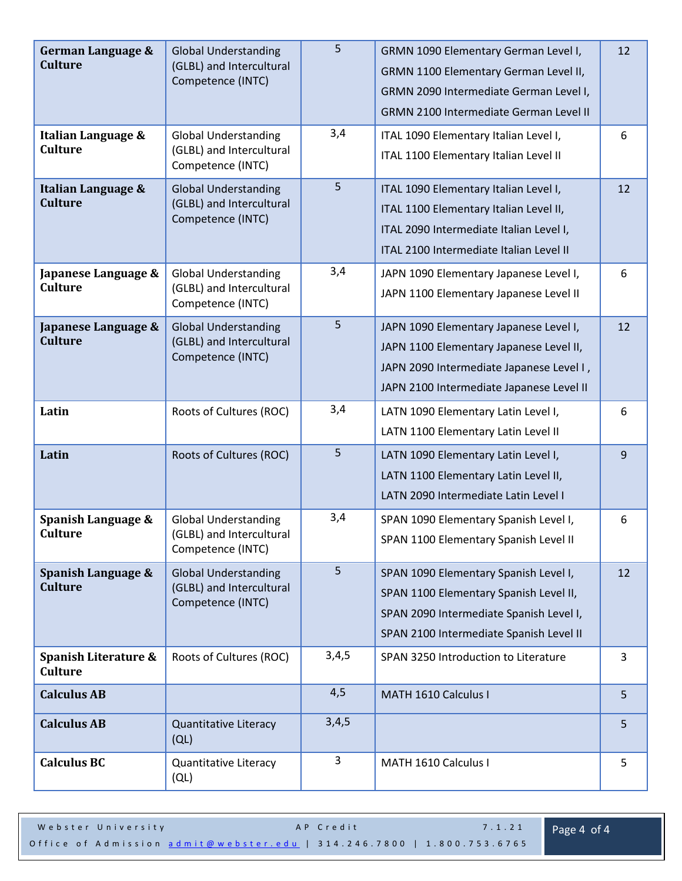| German Language &<br><b>Culture</b><br>Italian Language & | <b>Global Understanding</b><br>(GLBL) and Intercultural<br>Competence (INTC)<br><b>Global Understanding</b> | 5<br>3,4 | GRMN 1090 Elementary German Level I,<br>GRMN 1100 Elementary German Level II,<br>GRMN 2090 Intermediate German Level I,<br><b>GRMN 2100 Intermediate German Level II</b><br>ITAL 1090 Elementary Italian Level I, | 12<br>6 |
|-----------------------------------------------------------|-------------------------------------------------------------------------------------------------------------|----------|-------------------------------------------------------------------------------------------------------------------------------------------------------------------------------------------------------------------|---------|
| <b>Culture</b>                                            | (GLBL) and Intercultural<br>Competence (INTC)                                                               |          | ITAL 1100 Elementary Italian Level II                                                                                                                                                                             |         |
| Italian Language &<br><b>Culture</b>                      | <b>Global Understanding</b><br>(GLBL) and Intercultural<br>Competence (INTC)                                | 5        | ITAL 1090 Elementary Italian Level I,<br>ITAL 1100 Elementary Italian Level II,<br>ITAL 2090 Intermediate Italian Level I,<br>ITAL 2100 Intermediate Italian Level II                                             | 12      |
| Japanese Language &<br><b>Culture</b>                     | <b>Global Understanding</b><br>(GLBL) and Intercultural<br>Competence (INTC)                                | 3,4      | JAPN 1090 Elementary Japanese Level I,<br>JAPN 1100 Elementary Japanese Level II                                                                                                                                  | 6       |
| Japanese Language &<br><b>Culture</b>                     | <b>Global Understanding</b><br>(GLBL) and Intercultural<br>Competence (INTC)                                | 5        | JAPN 1090 Elementary Japanese Level I,<br>JAPN 1100 Elementary Japanese Level II,<br>JAPN 2090 Intermediate Japanese Level I,<br>JAPN 2100 Intermediate Japanese Level II                                         | 12      |
| Latin                                                     | Roots of Cultures (ROC)                                                                                     | 3,4      | LATN 1090 Elementary Latin Level I,<br>LATN 1100 Elementary Latin Level II                                                                                                                                        | 6       |
| Latin                                                     | Roots of Cultures (ROC)                                                                                     | 5        | LATN 1090 Elementary Latin Level I,<br>LATN 1100 Elementary Latin Level II,<br>LATN 2090 Intermediate Latin Level I                                                                                               | 9       |
| Spanish Language &<br><b>Culture</b>                      | <b>Global Understanding</b><br>(GLBL) and Intercultural<br>Competence (INTC)                                | 3,4      | SPAN 1090 Elementary Spanish Level I,<br>SPAN 1100 Elementary Spanish Level II                                                                                                                                    | 6       |
| Spanish Language &<br><b>Culture</b>                      | <b>Global Understanding</b><br>(GLBL) and Intercultural<br>Competence (INTC)                                | 5        | SPAN 1090 Elementary Spanish Level I,<br>SPAN 1100 Elementary Spanish Level II,<br>SPAN 2090 Intermediate Spanish Level I,<br>SPAN 2100 Intermediate Spanish Level II                                             | 12      |
| Spanish Literature &<br><b>Culture</b>                    | Roots of Cultures (ROC)                                                                                     | 3,4,5    | SPAN 3250 Introduction to Literature                                                                                                                                                                              | 3       |
| <b>Calculus AB</b>                                        |                                                                                                             | 4,5      | MATH 1610 Calculus I                                                                                                                                                                                              | 5       |
| <b>Calculus AB</b>                                        | Quantitative Literacy<br>(QL)                                                                               | 3,4,5    |                                                                                                                                                                                                                   | 5       |
| <b>Calculus BC</b>                                        | Quantitative Literacy<br>(QL)                                                                               | 3        | MATH 1610 Calculus I                                                                                                                                                                                              | 5       |